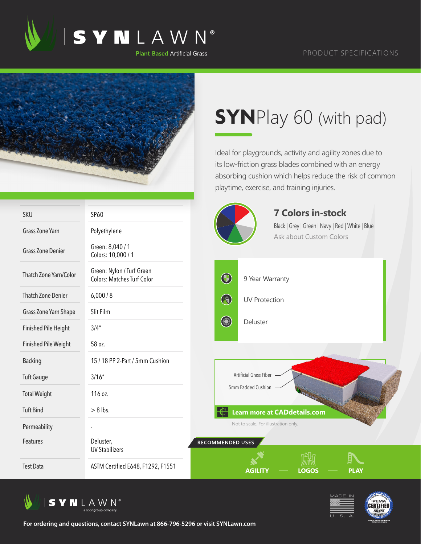

## PRODUCT SPECIFICATIONS



## **SYN**Play 60 (with pad)

Ideal for playgrounds, activity and agility zones due to its low-friction grass blades combined with an energy absorbing cushion which helps reduce the risk of common playtime, exercise, and training injuries.

| <b>SKU</b>                  | SP60                                                           |                         | <b>7 Colors in-stock</b>                                                    |
|-----------------------------|----------------------------------------------------------------|-------------------------|-----------------------------------------------------------------------------|
| <b>Grass Zone Yarn</b>      | Polyethylene                                                   |                         | Black   Grey   Green   Navy   Red   White   Blue<br>Ask about Custom Colors |
| <b>Grass Zone Denier</b>    | Green: 8,040 / 1<br>Colors: 10,000 / 1                         |                         |                                                                             |
| Thatch Zone Yarn/Color      | Green: Nylon / Turf Green<br><b>Colors: Matches Turf Color</b> | $\bigcirc$              | 9 Year Warranty                                                             |
| <b>Thatch Zone Denier</b>   | 6,000/8                                                        | $\bigcirc$              | <b>UV Protection</b>                                                        |
| Grass Zone Yarn Shape       | Slit Film                                                      |                         |                                                                             |
| <b>Finished Pile Height</b> | 3/4''                                                          | <b>Comment</b>          | Deluster                                                                    |
| Finished Pile Weight        | 58 oz.                                                         |                         |                                                                             |
| <b>Backing</b>              | 15 / 18 PP 2-Part / 5mm Cushion                                |                         |                                                                             |
| <b>Tuft Gauge</b>           | 3/16''                                                         |                         | Artificial Grass Fiber                                                      |
| <b>Total Weight</b>         | 116 oz.                                                        |                         | 5mm Padded Cushion                                                          |
| <b>Tuft Bind</b>            | $> 8$ lbs.                                                     |                         | <b>Learn more at CADdetails.com</b>                                         |
| Permeability                |                                                                |                         | Not to scale. For illustration only.                                        |
| Features                    | Deluster,<br><b>UV Stabilizers</b>                             | <b>RECOMMENDED USES</b> |                                                                             |
| <b>Test Data</b>            | ASTM Certified E648, F1292, F1551                              |                         | <b>LOGOS</b><br><b>AGILITY</b><br><b>PLAY</b>                               |



**For ordering and questions, contact SYNLawn at 866-796-5296 or visit SYNLawn.com**